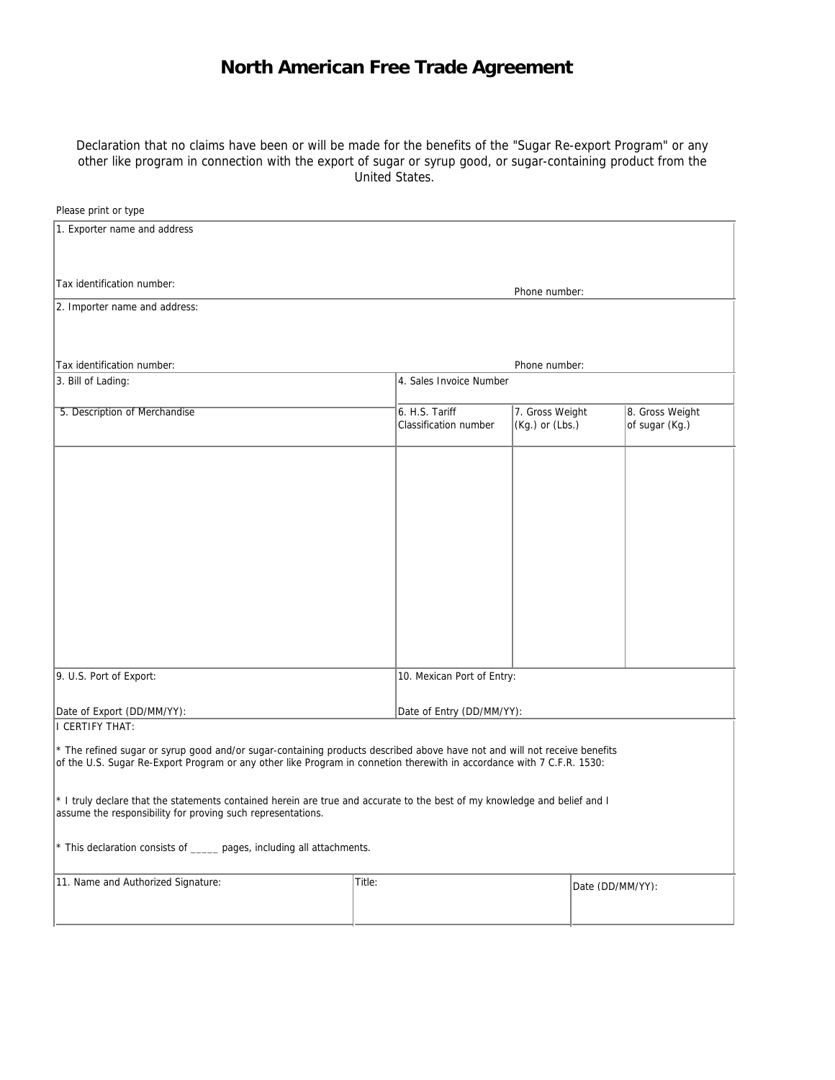## **North American Free Trade Agreement**

Declaration that no claims have been or will be made for the benefits of the "Sugar Re-export Program" or any other like program in connection with the export of sugar or syrup good, or sugar-containing product from the United States.

| Please print or type                                                                                                                                                                                                                                |                         |                                         |                                    |                  |                                   |
|-----------------------------------------------------------------------------------------------------------------------------------------------------------------------------------------------------------------------------------------------------|-------------------------|-----------------------------------------|------------------------------------|------------------|-----------------------------------|
| 1. Exporter name and address                                                                                                                                                                                                                        |                         |                                         |                                    |                  |                                   |
| Tax identification number:                                                                                                                                                                                                                          |                         |                                         | Phone number:                      |                  |                                   |
| 2. Importer name and address:                                                                                                                                                                                                                       |                         |                                         |                                    |                  |                                   |
|                                                                                                                                                                                                                                                     |                         |                                         |                                    |                  |                                   |
| Tax identification number:                                                                                                                                                                                                                          |                         |                                         | Phone number:                      |                  |                                   |
| 3. Bill of Lading:                                                                                                                                                                                                                                  | 4. Sales Invoice Number |                                         |                                    |                  |                                   |
|                                                                                                                                                                                                                                                     |                         |                                         |                                    |                  |                                   |
| 5. Description of Merchandise                                                                                                                                                                                                                       |                         | 6. H.S. Tariff<br>Classification number | 7. Gross Weight<br>(Kg.) or (Lbs.) |                  | 8. Gross Weight<br>of sugar (Kg.) |
|                                                                                                                                                                                                                                                     |                         |                                         |                                    |                  |                                   |
|                                                                                                                                                                                                                                                     |                         |                                         |                                    |                  |                                   |
|                                                                                                                                                                                                                                                     |                         |                                         |                                    |                  |                                   |
|                                                                                                                                                                                                                                                     |                         |                                         |                                    |                  |                                   |
|                                                                                                                                                                                                                                                     |                         |                                         |                                    |                  |                                   |
| 9. U.S. Port of Export:<br>10. Mexican Port of Entry:                                                                                                                                                                                               |                         |                                         |                                    |                  |                                   |
| Date of Export (DD/MM/YY):                                                                                                                                                                                                                          |                         | Date of Entry (DD/MM/YY):               |                                    |                  |                                   |
| I CERTIFY THAT:                                                                                                                                                                                                                                     |                         |                                         |                                    |                  |                                   |
| * The refined sugar or syrup good and/or sugar-containing products described above have not and will not receive benefits<br>of the U.S. Sugar Re-Export Program or any other like Program in connetion therewith in accordance with 7 C.F.R. 1530: |                         |                                         |                                    |                  |                                   |
| * I truly declare that the statements contained herein are true and accurate to the best of my knowledge and belief and I<br>assume the responsibility for proving such representations.                                                            |                         |                                         |                                    |                  |                                   |
| * This declaration consists of ______ pages, including all attachments.                                                                                                                                                                             |                         |                                         |                                    |                  |                                   |
| 11. Name and Authorized Signature:                                                                                                                                                                                                                  | Title:                  |                                         |                                    | Date (DD/MM/YY): |                                   |
|                                                                                                                                                                                                                                                     |                         |                                         |                                    |                  |                                   |